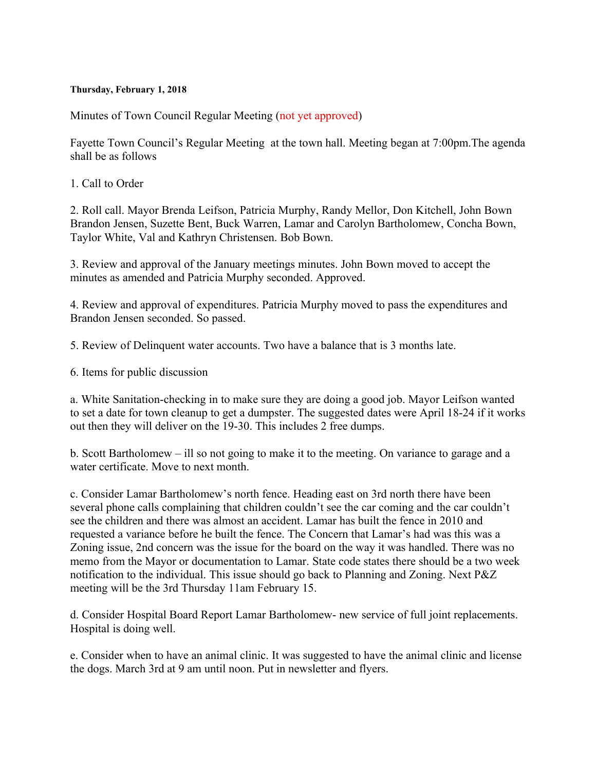## **Thursday, February 1, 2018**

Minutes of Town Council Regular Meeting (not yet approved)

Fayette Town Council's Regular Meeting at the town hall. Meeting began at 7:00pm.The agenda shall be as follows

1. Call to Order

2. Roll call. Mayor Brenda Leifson, Patricia Murphy, Randy Mellor, Don Kitchell, John Bown Brandon Jensen, Suzette Bent, Buck Warren, Lamar and Carolyn Bartholomew, Concha Bown, Taylor White, Val and Kathryn Christensen. Bob Bown.

3. Review and approval of the January meetings minutes. John Bown moved to accept the minutes as amended and Patricia Murphy seconded. Approved.

4. Review and approval of expenditures. Patricia Murphy moved to pass the expenditures and Brandon Jensen seconded. So passed.

5. Review of Delinquent water accounts. Two have a balance that is 3 months late.

6. Items for public discussion

a. White Sanitation-checking in to make sure they are doing a good job. Mayor Leifson wanted to set a date for town cleanup to get a dumpster. The suggested dates were April 18-24 if it works out then they will deliver on the 19-30. This includes 2 free dumps.

b. Scott Bartholomew – ill so not going to make it to the meeting. On variance to garage and a water certificate. Move to next month.

c. Consider Lamar Bartholomew's north fence. Heading east on 3rd north there have been several phone calls complaining that children couldn't see the car coming and the car couldn't see the children and there was almost an accident. Lamar has built the fence in 2010 and requested a variance before he built the fence. The Concern that Lamar's had was this was a Zoning issue, 2nd concern was the issue for the board on the way it was handled. There was no memo from the Mayor or documentation to Lamar. State code states there should be a two week notification to the individual. This issue should go back to Planning and Zoning. Next P&Z meeting will be the 3rd Thursday 11am February 15.

d. Consider Hospital Board Report Lamar Bartholomew- new service of full joint replacements. Hospital is doing well.

e. Consider when to have an animal clinic. It was suggested to have the animal clinic and license the dogs. March 3rd at 9 am until noon. Put in newsletter and flyers.